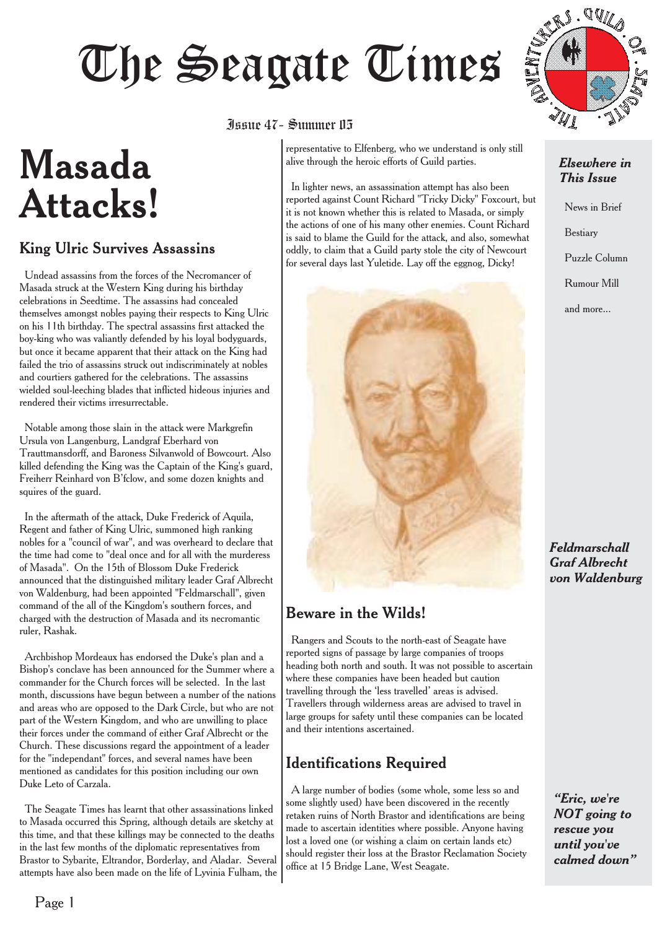# June 47 - Summer 115

# **Masada Attacks!**

#### King Ulric Survives Assassins

Undead assassins from the forces of the Necromancer of Masada struck at the Western King during his birthday celebrations in Seedtime. The assassins had concealed themselves amongst nobles paying their respects to King Ulric on his 11th birthday. The spectral assassins first attacked the boy-king who was valiantly defended by his loyal bodyguards, but once it became apparent that their attack on the King had failed the trio of assassins struck out indiscriminately at nobles and courtiers gathered for the celebrations. The assassins wielded soul-leeching blades that inflicted hideous injuries and rendered their victims irresurrectable.

Notable among those slain in the attack were Markgrefin Ursula von Langenburg, Landgraf Eberhard von Trauttmansdorff, and Baroness Silvanwold of Bowcourt. Also killed defending the King was the Captain of the King's guard, Freiherr Reinhard von B'fclow, and some dozen knights and squires of the guard.

In the aftermath of the attack, Duke Frederick of Aquila, Regent and father of King Ulric, summoned high ranking nobles for a "council of war", and was overheard to declare that the time had come to "deal once and for all with the murderess of Masada". On the 15th of Blossom Duke Frederick announced that the distinguished military leader Graf Albrecht von Waldenburg, had been appointed "Feldmarschall", given command of the all of the Kingdom's southern forces, and charged with the destruction of Masada and its necromantic ruler, Rashak.

Archbishop Mordeaux has endorsed the Duke's plan and a Bishop's conclave has been announced for the Summer where a commander for the Church forces will be selected. In the last month, discussions have begun between a number of the nations and areas who are opposed to the Dark Circle, but who are not part of the Western Kingdom, and who are unwilling to place their forces under the command of either Graf Albrecht or the Church. These discussions regard the appointment of a leader for the "independant" forces, and several names have been mentioned as candidates for this position including our own Duke Leto of Carzala.

The Seagate Times has learnt that other assassinations linked to Masada occurred this Spring, although details are sketchy at this time, and that these killings may be connected to the deaths in the last few months of the diplomatic representatives from Brastor to Sybarite, Eltrandor, Borderlay, and Aladar. Several attempts have also been made on the life of Lyvinia Fulham, the

## Issue 47- Summer 05

representative to Elfenberg, who we understand is only still alive through the heroic efforts of Guild parties.

In lighter news, an assassination attempt has also been reported against Count Richard "Tricky Dicky" Foxcourt, but it is not known whether this is related to Masada, or simply the actions of one of his many other enemies. Count Richard is said to blame the Guild for the attack, and also, somewhat oddly, to claim that a Guild party stole the city of Newcourt for several days last Yuletide. Lay off the eggnog, Dicky!



#### Beware in the Wilds!

Rangers and Scouts to the north-east of Seagate have reported signs of passage by large companies of troops heading both north and south. It was not possible to ascertain where these companies have been headed but caution travelling through the 'less travelled' areas is advised. Travellers through wilderness areas are advised to travel in large groups for safety until these companies can be located and their intentions ascertained.

#### Identifications Required

A large number of bodies (some whole, some less so and some slightly used) have been discovered in the recently retaken ruins of North Brastor and identifications are being made to ascertain identities where possible. Anyone having lost a loved one (or wishing a claim on certain lands etc) should register their loss at the Brastor Reclamation Society office at 15 Bridge Lane, West Seagate.



#### *Elsewhere in This Issue*

News in Brief Bestiary

Puzzle Column

Rumour Mill

and more...

*Feldmarschall Graf Albrecht von Waldenburg*

*"Eric, we're NOT going to rescue you until you've calmed down"*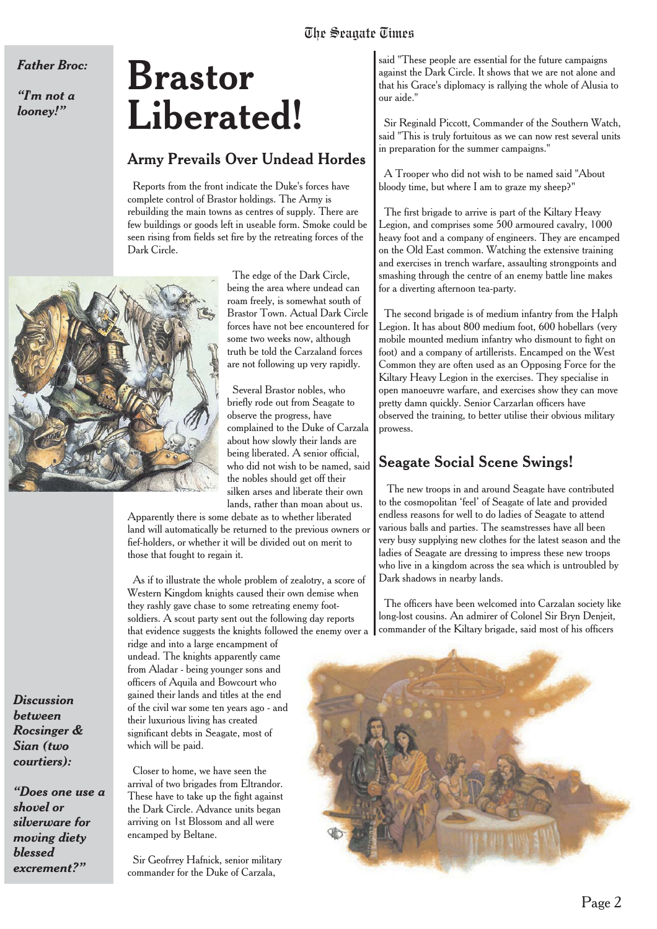*Father Broc:*

*"I'm not a looney!"*

# **Brastor Liberated!**

#### Army Prevails Over Undead Hordes

Reports from the front indicate the Duke's forces have complete control of Brastor holdings. The Army is rebuilding the main towns as centres of supply. There are few buildings or goods left in useable form. Smoke could be seen rising from fields set fire by the retreating forces of the Dark Circle.



The edge of the Dark Circle, being the area where undead can roam freely, is somewhat south of Brastor Town. Actual Dark Circle forces have not bee encountered for some two weeks now, although truth be told the Carzaland forces are not following up very rapidly.

Several Brastor nobles, who briefly rode out from Seagate to observe the progress, have complained to the Duke of Carzala about how slowly their lands are being liberated. A senior official, who did not wish to be named, said the nobles should get off their silken arses and liberate their own lands, rather than moan about us.

Apparently there is some debate as to whether liberated land will automatically be returned to the previous owners or fief-holders, or whether it will be divided out on merit to those that fought to regain it.

As if to illustrate the whole problem of zealotry, a score of Western Kingdom knights caused their own demise when they rashly gave chase to some retreating enemy footsoldiers. A scout party sent out the following day reports that evidence suggests the knights followed the enemy over a

ridge and into a large encampment of undead. The knights apparently came from Aladar - being younger sons and officers of Aquila and Bowcourt who gained their lands and titles at the end of the civil war some ten years ago - and their luxurious living has created significant debts in Seagate, most of which will be paid.

Closer to home, we have seen the arrival of two brigades from Eltrandor. These have to take up the fight against the Dark Circle. Advance units began arriving on 1st Blossom and all were encamped by Beltane.

Sir Geofrrey Hafnick, senior military commander for the Duke of Carzala,

said "These people are essential for the future campaigns against the Dark Circle. It shows that we are not alone and that his Grace's diplomacy is rallying the whole of Alusia to our aide."

Sir Reginald Piccott, Commander of the Southern Watch, said "This is truly fortuitous as we can now rest several units in preparation for the summer campaigns."

A Trooper who did not wish to be named said "About bloody time, but where I am to graze my sheep?"

The first brigade to arrive is part of the Kiltary Heavy Legion, and comprises some 500 armoured cavalry, 1000 heavy foot and a company of engineers. They are encamped on the Old East common. Watching the extensive training and exercises in trench warfare, assaulting strongpoints and smashing through the centre of an enemy battle line makes for a diverting afternoon tea-party.

The second brigade is of medium infantry from the Halph Legion. It has about 800 medium foot, 600 hobellars (very mobile mounted medium infantry who dismount to fight on foot) and a company of artillerists. Encamped on the West Common they are often used as an Opposing Force for the Kiltary Heavy Legion in the exercises. They specialise in open manoeuvre warfare, and exercises show they can move pretty damn quickly. Senior Carzarlan officers have observed the training, to better utilise their obvious military prowess.

#### Seagate Social Scene Swings!

The new troops in and around Seagate have contributed to the cosmopolitan 'feel' of Seagate of late and provided endless reasons for well to do ladies of Seagate to attend various balls and parties. The seamstresses have all been very busy supplying new clothes for the latest season and the ladies of Seagate are dressing to impress these new troops who live in a kingdom across the sea which is untroubled by Dark shadows in nearby lands.

The officers have been welcomed into Carzalan society like long-lost cousins. An admirer of Colonel Sir Bryn Denjeit, commander of the Kiltary brigade, said most of his officers



*Discussion between Rocsinger & Sian (two*

*courtiers):*

*"Does one use a shovel or silverware for moving diety blessed excrement?"*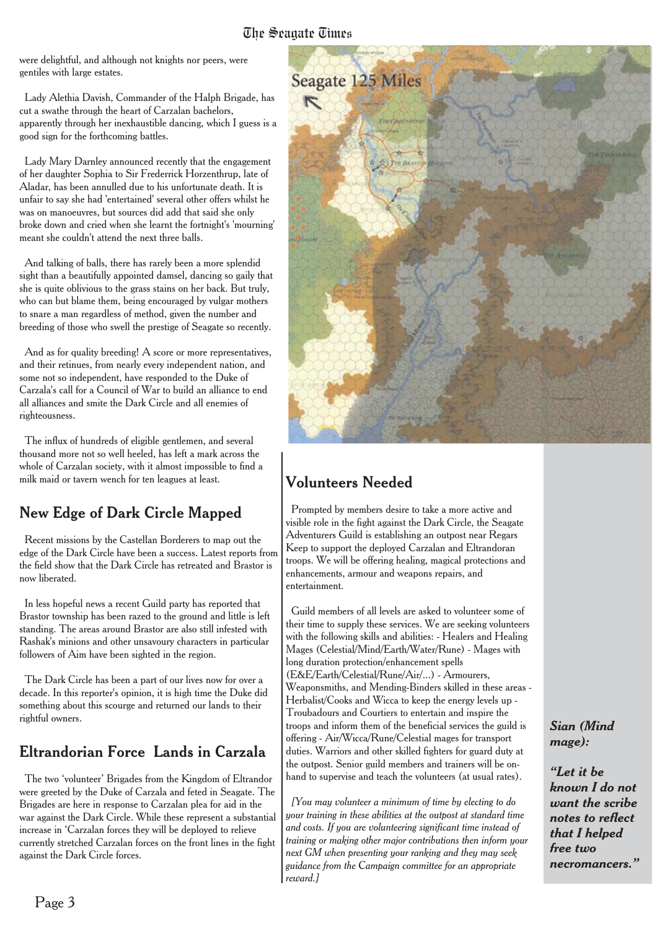were delightful, and although not knights nor peers, were gentiles with large estates.

Lady Alethia Davish, Commander of the Halph Brigade, has cut a swathe through the heart of Carzalan bachelors, apparently through her inexhaustible dancing, which I guess is a good sign for the forthcoming battles.

Lady Mary Darnley announced recently that the engagement of her daughter Sophia to Sir Frederrick Horzenthrup, late of Aladar, has been annulled due to his unfortunate death. It is unfair to say she had 'entertained' several other offers whilst he was on manoeuvres, but sources did add that said she only broke down and cried when she learnt the fortnight's 'mourning' meant she couldn't attend the next three balls.

And talking of balls, there has rarely been a more splendid sight than a beautifully appointed damsel, dancing so gaily that she is quite oblivious to the grass stains on her back. But truly, who can but blame them, being encouraged by vulgar mothers to snare a man regardless of method, given the number and breeding of those who swell the prestige of Seagate so recently.

And as for quality breeding! A score or more representatives, and their retinues, from nearly every independent nation, and some not so independent, have responded to the Duke of Carzala's call for a Council of War to build an alliance to end all alliances and smite the Dark Circle and all enemies of righteousness.

The influx of hundreds of eligible gentlemen, and several thousand more not so well heeled, has left a mark across the whole of Carzalan society, with it almost impossible to find a milk maid or tavern wench for ten leagues at least.

#### New Edge of Dark Circle Mapped

Recent missions by the Castellan Borderers to map out the edge of the Dark Circle have been a success. Latest reports from the field show that the Dark Circle has retreated and Brastor is now liberated.

In less hopeful news a recent Guild party has reported that Brastor township has been razed to the ground and little is left standing. The areas around Brastor are also still infested with Rashak's minions and other unsavoury characters in particular followers of Aim have been sighted in the region.

The Dark Circle has been a part of our lives now for over a decade. In this reporter's opinion, it is high time the Duke did something about this scourge and returned our lands to their rightful owners.

#### Eltrandorian Force Lands in Carzala

The two 'volunteer' Brigades from the Kingdom of Eltrandor were greeted by the Duke of Carzala and feted in Seagate. The Brigades are here in response to Carzalan plea for aid in the war against the Dark Circle. While these represent a substantial increase in 'Carzalan forces they will be deployed to relieve currently stretched Carzalan forces on the front lines in the fight against the Dark Circle forces.



#### Volunteers Needed

Prompted by members desire to take a more active and visible role in the fight against the Dark Circle, the Seagate Adventurers Guild is establishing an outpost near Regars Keep to support the deployed Carzalan and Eltrandoran troops. We will be offering healing, magical protections and enhancements, armour and weapons repairs, and entertainment.

Guild members of all levels are asked to volunteer some of their time to supply these services. We are seeking volunteers with the following skills and abilities: - Healers and Healing Mages (Celestial/Mind/Earth/Water/Rune) - Mages with long duration protection/enhancement spells (E&E/Earth/Celestial/Rune/Air/...) - Armourers, Weaponsmiths, and Mending-Binders skilled in these areas - Herbalist/Cooks and Wicca to keep the energy levels up - Troubadours and Courtiers to entertain and inspire the troops and inform them of the beneficial services the guild is offering - Air/Wicca/Rune/Celestial mages for transport duties. Warriors and other skilled fighters for guard duty at the outpost. Senior guild members and trainers will be onhand to supervise and teach the volunteers (at usual rates).

*[You may volunteer a minimum of time by electing to do your training in these abilities at the outpost at standard time and costs. If you are volunteering significant time instead of training or making other major contributions then inform your next GM when presenting your ranking and they may seek guidance from the Campaign committee for an appropriate reward.]*

*Sian (Mind mage):*

*"Let it be known I do not want the scribe notes to reflect that I helped free two necromancers."*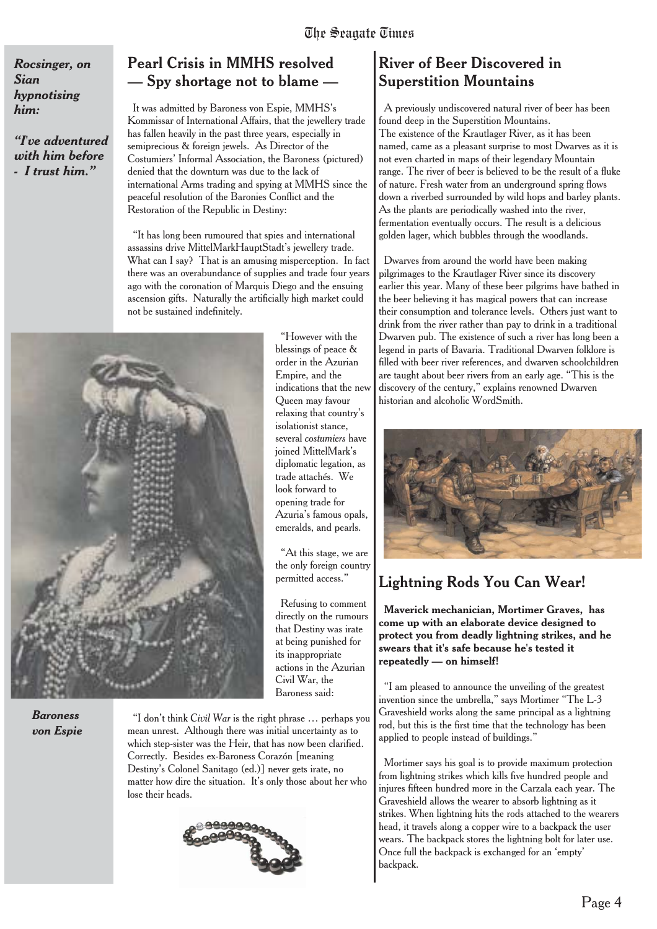*Rocsinger, on Sian hypnotising him:*

*"I've adventured with him before - I trust him."*

#### **Pearl Crisis in MMHS resolved — Spy shortage not to blame —**

It was admitted by Baroness von Espie, MMHS's Kommissar of International Affairs, that the jewellery trade has fallen heavily in the past three years, especially in semiprecious & foreign jewels. As Director of the Costumiers' Informal Association, the Baroness (pictured) denied that the downturn was due to the lack of international Arms trading and spying at MMHS since the peaceful resolution of the Baronies Conflict and the Restoration of the Republic in Destiny:

"It has long been rumoured that spies and international assassins drive MittelMarkHauptStadt's jewellery trade. What can I say? That is an amusing misperception. In fact there was an overabundance of supplies and trade four years ago with the coronation of Marquis Diego and the ensuing ascension gifts. Naturally the artificially high market could not be sustained indefinitely.

"However with the

Refusing to comment



*Baroness von Espie*

"I don't think *Civil War* is the right phrase … perhaps you mean unrest. Although there was initial uncertainty as to which step-sister was the Heir, that has now been clarified. Correctly. Besides ex-Baroness Corazón [meaning Destiny's Colonel Sanitago (ed.)] never gets irate, no matter how dire the situation. It's only those about her who lose their heads.



**River of Beer Discovered in Superstition Mountains**

A previously undiscovered natural river of beer has been found deep in the Superstition Mountains. The existence of the Krautlager River, as it has been named, came as a pleasant surprise to most Dwarves as it is not even charted in maps of their legendary Mountain range. The river of beer is believed to be the result of a fluke of nature. Fresh water from an underground spring flows down a riverbed surrounded by wild hops and barley plants. As the plants are periodically washed into the river, fermentation eventually occurs. The result is a delicious golden lager, which bubbles through the woodlands.

Dwarves from around the world have been making pilgrimages to the Krautlager River since its discovery earlier this year. Many of these beer pilgrims have bathed in the beer believing it has magical powers that can increase their consumption and tolerance levels. Others just want to drink from the river rather than pay to drink in a traditional Dwarven pub. The existence of such a river has long been a legend in parts of Bavaria. Traditional Dwarven folklore is filled with beer river references, and dwarven schoolchildren are taught about beer rivers from an early age. "This is the discovery of the century," explains renowned Dwarven historian and alcoholic WordSmith.



#### **Lightning Rods You Can Wear!**

**Maverick mechanician, Mortimer Graves, has come up with an elaborate device designed to protect you from deadly lightning strikes, and he swears that it's safe because he's tested it repeatedly — on himself!**

"I am pleased to announce the unveiling of the greatest invention since the umbrella," says Mortimer "The L-3 Graveshield works along the same principal as a lightning rod, but this is the first time that the technology has been applied to people instead of buildings."

Mortimer says his goal is to provide maximum protection from lightning strikes which kills five hundred people and injures fifteen hundred more in the Carzala each year. The Graveshield allows the wearer to absorb lightning as it strikes. When lightning hits the rods attached to the wearers head, it travels along a copper wire to a backpack the user wears. The backpack stores the lightning bolt for later use. Once full the backpack is exchanged for an 'empty' backpack.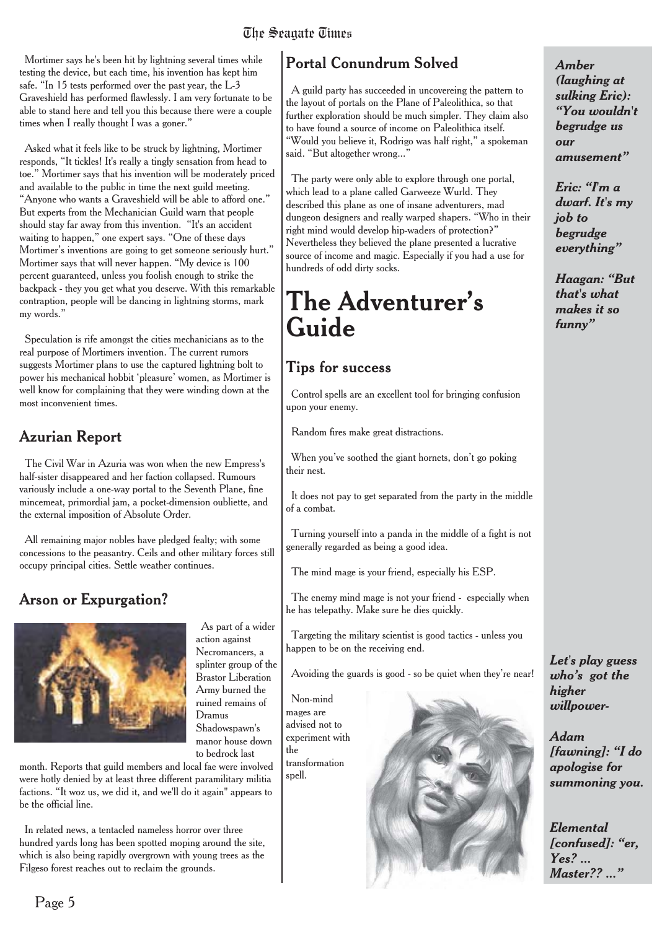## The Seagate Times

Mortimer says he's been hit by lightning several times while testing the device, but each time, his invention has kept him safe. "In 15 tests performed over the past year, the L-3 Graveshield has performed flawlessly. I am very fortunate to be able to stand here and tell you this because there were a couple times when I really thought I was a goner."

Asked what it feels like to be struck by lightning, Mortimer responds, "It tickles! It's really a tingly sensation from head to toe." Mortimer says that his invention will be moderately priced and available to the public in time the next guild meeting. "Anyone who wants a Graveshield will be able to afford one." But experts from the Mechanician Guild warn that people should stay far away from this invention. "It's an accident waiting to happen," one expert says. "One of these days Mortimer's inventions are going to get someone seriously hurt." Mortimer says that will never happen. "My device is 100 percent guaranteed, unless you foolish enough to strike the backpack - they you get what you deserve. With this remarkable contraption, people will be dancing in lightning storms, mark my words."

Speculation is rife amongst the cities mechanicians as to the real purpose of Mortimers invention. The current rumors suggests Mortimer plans to use the captured lightning bolt to power his mechanical hobbit 'pleasure' women, as Mortimer is well know for complaining that they were winding down at the most inconvenient times.

#### Azurian Report

The Civil War in Azuria was won when the new Empress's half-sister disappeared and her faction collapsed. Rumours variously include a one-way portal to the Seventh Plane, fine mincemeat, primordial jam, a pocket-dimension oubliette, and the external imposition of Absolute Order.

All remaining major nobles have pledged fealty; with some concessions to the peasantry. Ceils and other military forces still occupy principal cities. Settle weather continues.

## Arson or Expurgation?



action against Necromancers, a splinter group of the Brastor Liberation Army burned the ruined remains of Dramus Shadowspawn's manor house down to bedrock last

As part of a wider

month. Reports that guild members and local fae were involved were hotly denied by at least three different paramilitary militia factions. "It woz us, we did it, and we'll do it again" appears to be the official line.

In related news, a tentacled nameless horror over three hundred yards long has been spotted moping around the site, which is also being rapidly overgrown with young trees as the Filgeso forest reaches out to reclaim the grounds.

## Portal Conundrum Solved

A guild party has succeeded in uncovereing the pattern to the layout of portals on the Plane of Paleolithica, so that further exploration should be much simpler. They claim also to have found a source of income on Paleolithica itself. "Would you believe it, Rodrigo was half right," a spokeman said. "But altogether wrong..."

The party were only able to explore through one portal, which lead to a plane called Garweeze Wurld. They described this plane as one of insane adventurers, mad dungeon designers and really warped shapers. "Who in their right mind would develop hip-waders of protection?" Nevertheless they believed the plane presented a lucrative source of income and magic. Especially if you had a use for hundreds of odd dirty socks.

## **The Adventurer's Guide**

#### **Tips for success**

Control spells are an excellent tool for bringing confusion upon your enemy.

Random fires make great distractions.

When you've soothed the giant hornets, don't go poking their nest.

It does not pay to get separated from the party in the middle of a combat.

Turning yourself into a panda in the middle of a fight is not generally regarded as being a good idea.

The mind mage is your friend, especially his ESP.

The enemy mind mage is not your friend - especially when he has telepathy. Make sure he dies quickly.

Targeting the military scientist is good tactics - unless you happen to be on the receiving end.

Avoiding the guards is good - so be quiet when they're near!

Non-mind mages are advised not to experiment with the transformation spell.



*Amber (laughing at sulking Eric): "You wouldn't begrudge us our amusement"*

*Eric: "I'm a dwarf. It's my job to begrudge everything"*

*Haagan: "But that's what makes it so funny"*

*Let's play guess who's got the higher willpower-*

*Adam [fawning]: "I do apologise for summoning you.*

*Elemental [confused]: "er, Yes? ... Master?? ..."*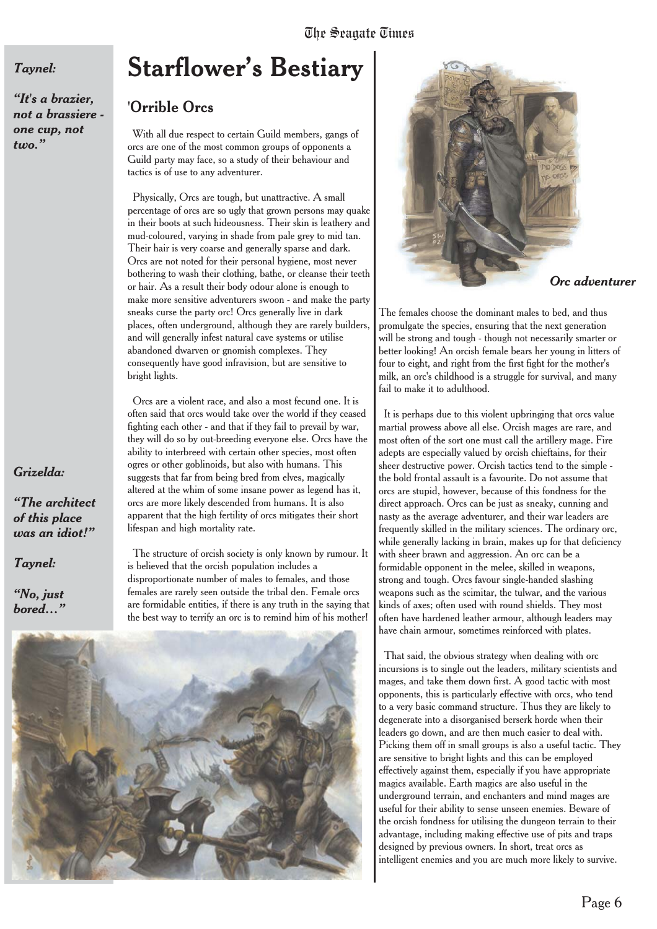## The Seagate Times

#### *Taynel:*

*"It's a brazier, not a brassiere one cup, not two."*

#### *Grizelda:*

*"The architect of this place was an idiot!"*

*Taynel:*

*"No, just bored…"*

## **Starflower's Bestiary**

#### 'Orrible Orcs

With all due respect to certain Guild members, gangs of orcs are one of the most common groups of opponents a Guild party may face, so a study of their behaviour and tactics is of use to any adventurer.

Physically, Orcs are tough, but unattractive. A small percentage of orcs are so ugly that grown persons may quake in their boots at such hideousness. Their skin is leathery and mud-coloured, varying in shade from pale grey to mid tan. Their hair is very coarse and generally sparse and dark. Orcs are not noted for their personal hygiene, most never bothering to wash their clothing, bathe, or cleanse their teeth or hair. As a result their body odour alone is enough to make more sensitive adventurers swoon - and make the party sneaks curse the party orc! Orcs generally live in dark places, often underground, although they are rarely builders, and will generally infest natural cave systems or utilise abandoned dwarven or gnomish complexes. They consequently have good infravision, but are sensitive to bright lights.

Orcs are a violent race, and also a most fecund one. It is often said that orcs would take over the world if they ceased fighting each other - and that if they fail to prevail by war, they will do so by out-breeding everyone else. Orcs have the ability to interbreed with certain other species, most often ogres or other goblinoids, but also with humans. This suggests that far from being bred from elves, magically altered at the whim of some insane power as legend has it, orcs are more likely descended from humans. It is also apparent that the high fertility of orcs mitigates their short lifespan and high mortality rate.

The structure of orcish society is only known by rumour. It is believed that the orcish population includes a disproportionate number of males to females, and those females are rarely seen outside the tribal den. Female orcs are formidable entities, if there is any truth in the saying that the best way to terrify an orc is to remind him of his mother!





#### *Orc adventurer*

The females choose the dominant males to bed, and thus promulgate the species, ensuring that the next generation will be strong and tough - though not necessarily smarter or better looking! An orcish female bears her young in litters of four to eight, and right from the first fight for the mother's milk, an orc's childhood is a struggle for survival, and many fail to make it to adulthood.

It is perhaps due to this violent upbringing that orcs value martial prowess above all else. Orcish mages are rare, and most often of the sort one must call the artillery mage. Fire adepts are especially valued by orcish chieftains, for their sheer destructive power. Orcish tactics tend to the simple the bold frontal assault is a favourite. Do not assume that orcs are stupid, however, because of this fondness for the direct approach. Orcs can be just as sneaky, cunning and nasty as the average adventurer, and their war leaders are frequently skilled in the military sciences. The ordinary orc, while generally lacking in brain, makes up for that deficiency with sheer brawn and aggression. An orc can be a formidable opponent in the melee, skilled in weapons, strong and tough. Orcs favour single-handed slashing weapons such as the scimitar, the tulwar, and the various kinds of axes; often used with round shields. They most often have hardened leather armour, although leaders may have chain armour, sometimes reinforced with plates.

That said, the obvious strategy when dealing with orc incursions is to single out the leaders, military scientists and mages, and take them down first. A good tactic with most opponents, this is particularly effective with orcs, who tend to a very basic command structure. Thus they are likely to degenerate into a disorganised berserk horde when their leaders go down, and are then much easier to deal with. Picking them off in small groups is also a useful tactic. They are sensitive to bright lights and this can be employed effectively against them, especially if you have appropriate magics available. Earth magics are also useful in the underground terrain, and enchanters and mind mages are useful for their ability to sense unseen enemies. Beware of the orcish fondness for utilising the dungeon terrain to their advantage, including making effective use of pits and traps designed by previous owners. In short, treat orcs as intelligent enemies and you are much more likely to survive.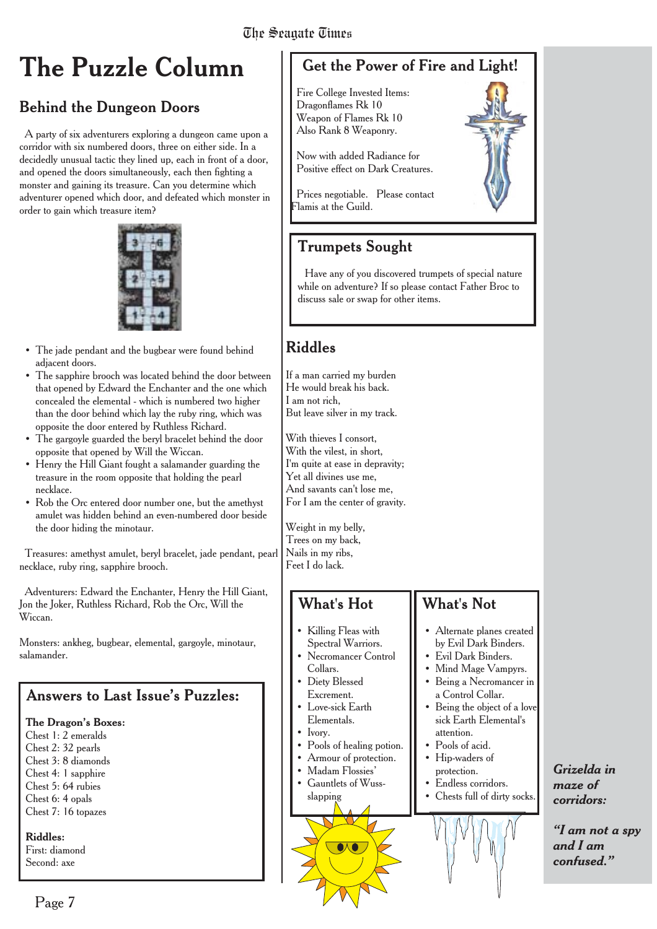## **The Puzzle Column**

## Behind the Dungeon Doors

A party of six adventurers exploring a dungeon came upon a corridor with six numbered doors, three on either side. In a decidedly unusual tactic they lined up, each in front of a door, and opened the doors simultaneously, each then fighting a monster and gaining its treasure. Can you determine which adventurer opened which door, and defeated which monster in order to gain which treasure item?



- The jade pendant and the bugbear were found behind adjacent doors.
- The sapphire brooch was located behind the door between that opened by Edward the Enchanter and the one which concealed the elemental - which is numbered two higher than the door behind which lay the ruby ring, which was opposite the door entered by Ruthless Richard.
- The gargoyle guarded the beryl bracelet behind the door opposite that opened by Will the Wiccan.
- Henry the Hill Giant fought a salamander guarding the treasure in the room opposite that holding the pearl necklace.
- Rob the Orc entered door number one, but the amethyst amulet was hidden behind an even-numbered door beside the door hiding the minotaur.

Treasures: amethyst amulet, beryl bracelet, jade pendant, pearl necklace, ruby ring, sapphire brooch.

Adventurers: Edward the Enchanter, Henry the Hill Giant, Jon the Joker, Ruthless Richard, Rob the Orc, Will the Wiccan.

Monsters: ankheg, bugbear, elemental, gargoyle, minotaur, salamander.

#### Answers to Last Issue's Puzzles:

#### **The Dragon's Boxes:**

Chest 1: 2 emeralds Chest 2: 32 pearls Chest 3: 8 diamonds Chest 4: 1 sapphire Chest 5: 64 rubies Chest 6: 4 opals Chest 7: 16 topazes

**Riddles:** First: diamond

Second: axe

## Get the Power of Fire and Light!

Fire College Invested Items: Dragonflames Rk 10 Weapon of Flames Rk 10 Also Rank 8 Weaponry.

Now with added Radiance for Positive effect on Dark Creatures.

Prices negotiable. Please contact Flamis at the Guild.

#### Trumpets Sought

Have any of you discovered trumpets of special nature while on adventure? If so please contact Father Broc to discuss sale or swap for other items.

## Riddles

If a man carried my burden He would break his back. I am not rich, But leave silver in my track.

With thieves I consort, With the vilest, in short, I'm quite at ease in depravity; Yet all divines use me, And savants can't lose me, For I am the center of gravity.

Weight in my belly, Trees on my back, Nails in my ribs, Feet I do lack.

#### What's Hot

- Killing Fleas with Spectral Warriors.
- Necromancer Control Collars.
- Diety Blessed
- Excrement. Love-sick Earth
- Elementals.
- Ivory.
- Pools of healing potion.
- Armour of protection.
- Madam Flossies'
- Gauntlets of Wussslapping



What's Not

attention. • Pools of acid. • Hip-waders of protection. • Endless corridors. • Chests full of dirty socks.

• Alternate planes created by Evil Dark Binders. • Evil Dark Binders. • Mind Mage Vampyrs. • Being a Necromancer in a Control Collar. • Being the object of a love sick Earth Elemental's



*"I am not a spy and I am confused."*